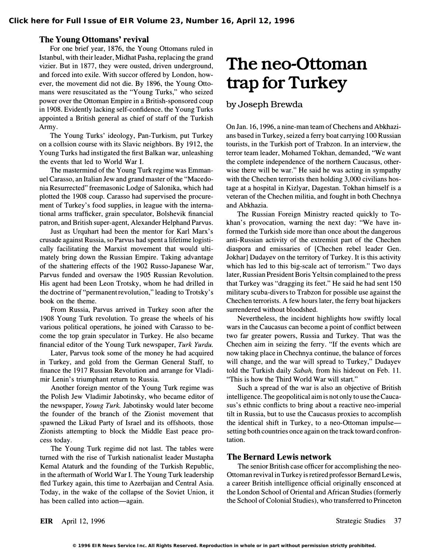#### The Young Ottomans' revival

For one brief year, 1876, the Young Ottomans ruled in Istanbul, with their leader, Midhat Pasha, replacing the grand vizier. But in 1877, they were ousted, driven underground, and forced into exile. With succor offered by London, however, the movement did not die. By 1896, the Young Ottomans were resuscitated as the "Young Turks," who seized power over the Ottoman Empire in a British-sponsored coup in 1908. Evidently lacking self-confidence, the Young Turks appointed a British general as chief of staff of the Turkish Army.

The Young Turks' ideology, Pan-Turkism, put Turkey on a collsion course with its Slavic neighbors. By 1912, the Young Turks had instigated the first Balkan war, unleashing the events that led to World War I.

The mastermind of the Young Turk regime was Emmanuel Carasso, an Italian Jew and grand master of the "Macedonia Resurrected" freemasonic Lodge of Salonika, which had plotted the 1908 coup. Carasso had supervised the procurement of Turkey's food supplies, in league with the international arms trafficker, grain speculator, Bolshevik financial patron, and British super-agent, Alexander Helphand Parvus.

Just as Urquhart had been the mentor for Karl Marx's crusade against Russia, so Parvus had spent a lifetime logistically facilitating the Marxist movement that would ultimately bring down the Russian Empire. Taking advantage of the shattering effects of the 1902 Russo-Japanese War, Parvus funded and oversaw the 1905 Russian Revolution. His agent had been Leon Trotsky, whom he had drilled in the doctrine of "permanent revolution," leading to Trotsky's book on the theme.

From Russia, Parvus arrived in Turkey soon after the 1908 Young Turk revolution. To grease the wheels of his various political operations, he joined with Carasso to become the top grain speculator in Turkey. He also became financial editor of the Young Turk newspaper, Turk Yurdu.

Later, Parvus took some of the money he had acquired in Turkey, and gold from the German General Staff, to finance the 1917 Russian Revolution and arrange for Vladimir Lenin's triumphant return to Russia.

Another foreign mentor of the Young Turk regime was the Polish Jew Vladimir Jabotinsky, who became editor of the newspaper, Young Turk. Jabotinsky would later become the founder of the branch of the Zionist movement that spawned the Likud Party of Israel and its offshoots, those Zionists attempting to block the Middle East peace process today.

The Young Turk regime did not last. The tables were turned with the rise of Turkish nationalist leader Mustapha Kemal Ataturk and the founding of the Turkish Republic, in the aftermath of World War I. The Young Turk leadership fled Turkey again, this time to Azerbaijan and Central Asia. Today, in the wake of the collapse of the Soviet Union, it has been called into action-again.

## The neo-Ottoman trap for Turkey

by Joseph Brewda

On Jan. 16, 1996, a nine-man team of Chechens and Abkhazians based in Turkey, seized a ferry boat carrying 100 Russian tourists, in the Turkish port of Trabzon. In an interview, the terror team leader, Mohamed Tokhan, demanded, "We want the complete independence of the northern Caucasus, otherwise there will be war." He said he was acting in sympathy with the Chechen terrorists then holding 3,000 civilians hostage at a hospital in Kizlyar, Dagestan. Tokhan himself is a veteran of the Chechen militia, and fought in both Chechnya and Abkhazia.

The Russian Foreign Ministry reacted quickly to Tokhan's provocation, warning the next day: "We have informed the Turkish side more than once about the dangerous anti-Russian activity of the extremist part of the Chechen diaspora and emissaries of [Chechen rebel leader Gen. Jokhar] Dudayev on the territory of Turkey. It is this activity which has led to this big-scale act of terrorism." Two days later, Russian President Boris Yeltsin complained to the press that Turkey was "dragging its feet." He said he had sent 150 military scuba-divers to Trabzon for possible use against the Chechen terrorists. A few hours later, the ferry boat hijackers surrendered without bloodshed.

Nevertheless, the incident highlights how swiftly local wars in the Caucasus can become a point of conflict between two far greater powers, Russia and Turkey. That was the Chechen aim in seizing the ferry. "If the events which are now taking place in Chechnya continue, the balance of forces will change, and the war will spread to Turkey," Dudayev told the Turkish daily Sabah, from his hideout on Feb. 11. "This is how the Third World War will start."

Such a spread of the war is also an objective of British intelligence. The geopolitical aim is not only to use the Caucasus's ethnic conflicts to bring about a reactive neo-imperial tilt in Russia, but to use the Caucasus proxies to accomplish the identical shift in Turkey, to a neo-Ottoman impulsesetting both countries once again on the track toward confrontation.

#### The Bernard Lewis network

The senior British case officer for accomplishing the neo-Ottoman revival in Turkey is retired professor Bernard Lewis, a career British intelligence official originally ensconced at the London School of Oriental and African Studies (formerly the School of Colonial Studies), who transferred to Princeton

EIR April 12, 1996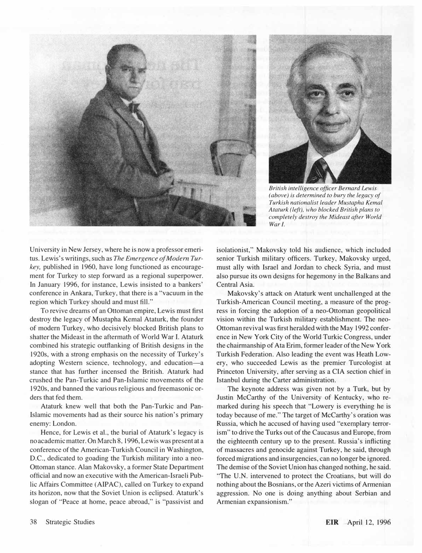



British intelligence officer Bemard Lewis (above) is determined to bury the legacy of Turkish nationalist leader Mustapha Kemal Ataturk (left), who blocked British plans to completely destroy the Mideast after World War I.

University in New Jersey, where he is now a professor emeritus. Lewis's writings, such as The Emergence of Modern Turkey, published in 1960, have long functioned as encouragement for Turkey to step forward as a regional superpower. In January 1996, for instance, Lewis insisted to a bankers' conference in Ankara, Turkey, that there is a "vacuum in the region which Turkey should and must fill."

To revive dreams of an Ottoman empire, Lewis must first destroy the legacy of Mustapha Kemal Ataturk, the founder of modern Turkey, who decisively blocked British plans to shatter the Mideast in the aftermath of World War I. Ataturk combined his strategic outflanking of British designs in the 1920s, with a strong emphasis on the necessity of Turkey's adopting Western science, technology, and education-a stance that has further incensed the British. Ataturk had crushed the Pan-Turkic and Pan-Islamic movements of the 1920s, and banned the various religious and freemasonic orders that fed them.

Ataturk knew well that both the Pan-Turkic and Pan-Islamic movements had as their source his nation's primary enemy: London.

Hence, for Lewis et aI., the burial of Ataturk's legacy is no academic matter. On March 8, 1996, Lewis was present at a conference of the American-Turkish Council in Washington, D.C., dedicated to goading the Turkish military into a neo-Ottoman stance. Alan Makovsky, a former State Department official and now an executive with the American-Israeli Public Affairs Committee (AIPAC), called on Turkey to expand its horizon, now that the Soviet Union is eclipsed. Ataturk's slogan of "Peace at home, peace abroad," is "passivist and isolationist," Makovsky told his audience, which included senior Turkish military officers. Turkey, Makovsky urged, must ally with Israel and Jordan to check Syria, and must also pursue its own designs for hegemony in the Balkans and Central Asia.

Makovsky's attack on Ataturk went unchallenged at the Turkish-American Council meeting, a measure of the progress in forcing the adoption of a neo-Ottoman geopolitical vision within the Turkish military establishment. The neo-Ottoman revival was first heralded with the May 1992 conference in New York City of the World Turkic Congress, under the chairmanship of Ata Erim, former leader of the New York Turkish Federation. Also leading the event was Heath Lowery, who succeeded Lewis as the premier Turcologist at Princeton University, after serving as a CIA section chief in Istanbul during the Carter administration.

The keynote address was given not by a Turk, but by Justin McCarthy of the University of Kentucky, who remarked during his speech that "Lowery is everything he is today because of me." The target of McCarthy's oration was Russia, which he accused of having used "exemplary terrorism" to drive the Turks out of the Caucasus and Europe, from the eighteenth century up to the present. Russia's inflicting of massacres and genocide against Turkey, he said, through forced migrations and insurgencies, can no longer be ignored. The demise of the Soviet Union has changed nothing, he said. "The U.N. intervened to protect the Croatians, but will do nothing about the Bosnians, or the Azeri victims of Armenian aggression. No one is doing anything about Serbian and Armenian expansionism."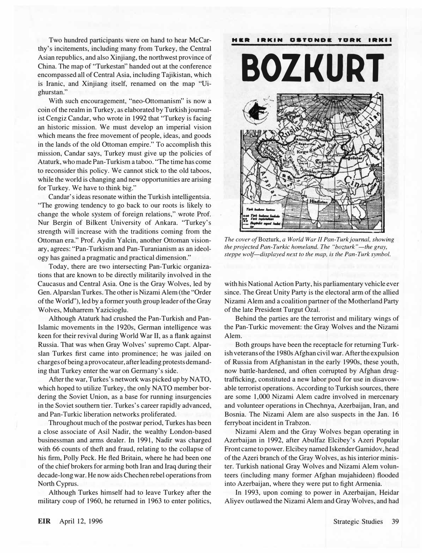Two hundred participants were on hand to hear McCarthy's incitements, including many from Turkey, the Central Asian republics, and also Xinjiang, the northwest province of China. The map of "Turkestan" handed out at the conference encompassed all of Central Asia, including Tajikistan, which is Iranic, and Xinjiang itself, renamed on the map "Uighurstan."

With such encouragement, "neo-Ottomanism" is now a coin of the realm in Turkey, as elaborated by Turkish journalist Cengiz Candar, who wrote in 1992 that "Turkey is facing an historic mission. We must develop an imperial vision which means the free movement of people, ideas, and goods in the lands of the old Ottoman empire." To accomplish this mission, Candar says, Turkey must give up the policies of Ataturk, who made Pan-Turkism a taboo. "The time has come to reconsider this policy. We cannot stick to the old taboos, while the world is changing and new opportunities are arising for Turkey. We have to think big."

Candar's ideas resonate within the Turkish intelligentsia. "The growing tendency to go back to our roots is likely to change the whole system of foreign relations," wrote Prof. Nur Bergin of Bilkent University of Ankara. "Turkey's strength will increase with the traditions coming from the Ottoman era." Prof. Aydin Yalcin, another Ottoman visionary, agrees: "Pan-Turkism and Pan-Turanianism as an ideology has gained a pragmatic and practical dimension."

Today, there are two intersecting Pan-Turkic organizations that are known to be directly militarily involved in the Caucasus and Central Asia. One is the Gray Wolves, led by Gen. Alparslan Turkes. The other is Nizami Alem (the "Order of the World"), led by a former youth group leader of the Gray Wolves, Muharrem Yazicioglu.

Although Ataturk had crushed the Pan-Turkish and Pan-Islamic movements in the 1920s, German intelligence was keen for their revival during World War II, as a flank against Russia. That was when Gray Wolves' supremo Capt. Alparsian Turkes first came into prominence; he was jailed on charges of being a provocateur, after leading protests demanding that Turkey enter the war on Germany's side.

After the war, Turkes' s network was picked up by NATO, which hoped to utilize Turkey, the only NATO member bordering the Soviet Union, as a base for running insurgencies in the Soviet southern tier. Turkes's career rapidly advanced, and Pan-Turkic liberation networks proliferated.

Throughout much of the postwar period, Turkes has been a close associate of Asil Nadir, the wealthy London-based businessman and arms dealer. In 1991, Nadir was charged with 66 counts of theft and fraud, relating to the collapse of his firm, Polly Peck. He fled Britain, where he had been one of the chief brokers for arming both Iran and Iraq during their decade-long war. He now aids Chechen rebel operations from North Cyprus.

Although Turkes himself had to leave Turkey after the military coup of 1960, he returned in 1963 to enter politics,



The cover of Bozturk, a World War II Pan-Turk journal, showing the projected Pan-Turkic homeland. The "bozturk"—the gray, steppe wolf—displayed next to the map, is the Pan-Turk symbol.

with his National Action Party, his parliamentary vehicle ever since. The Great Unity Party is the electoral arm of the allied Nizami Alem and a coalition partner of the Motherland Party of the late President Turgut Özal.

Behind the parties are the terrorist and military wings of the Pan-Turkic movement: the Gray Wolves and the Nizami Alem.

Both groups have been the receptacle for returning Turkish veterans of the 1980s Afghan civil war. After the expulsion of Russia from Afghanistan in the early 1990s, these youth, now battle-hardened, and often corrupted by Afghan drugtrafficking, constituted a new labor pool for use in disavowable terrorist operations. According to Turkish sources, there are some 1,000 Nizami Alem cadre involved in mercenary and volunteer operations in Chechnya, Azerbaijan, Iran, and Bosnia. The Nizami Alem are also suspects in the Jan. 16 ferryboat incident in Trabzon.

Nizami Alem and the Gray Wolves began operating in Azerbaijan in 1992, after Abulfaz Elcibey's Azeri Popular Front came to power. Elcibey named Iskender Gamidov, head of the Azeri branch of the Gray Wolves, as his interior minister. Turkish national Gray Wolves and Nizami Alem volunteers (including many former Afghan mujahideen) flooded into Azerbaijan, where they were put to fight Armenia.

In 1993, upon coming to power in Azerbaijan, Heidar Aliyev outlawed the Nizami Alem and Gray Wolves, and had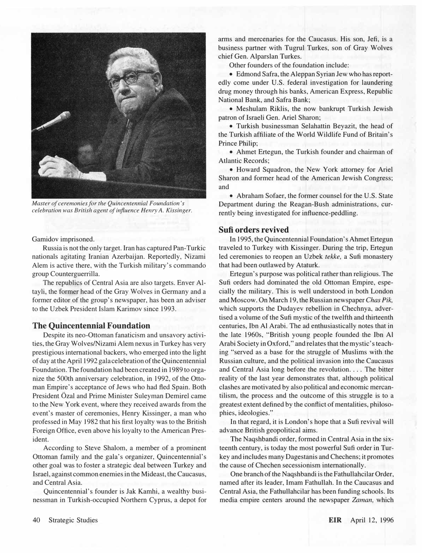

Master of ceremonies for the Quincentennial Foundation's celebration was British agent of influence Henry A. Kissinger.

#### Gamidov imprisoned.

Russia is not the only target. Iran has captured Pan-Turkic nationals agitating Iranian Azerbaijan. Reportedly, Nizami Alem is active there, with the Turkish military's commando group Counterguerrilla.

The republics of Central Asia are also targets. Enver AItayli, the former head of the Gray Wolves in Germany and a former editor of the group's newspaper, has been an adviser to the Uzbek President Islam Karimov since 1993.

#### The Quincentennial Foundation

Despite its neo-Ottoman fanaticism and unsavory activities, the Gray Wolves/Nizami Alem nexus in Turkey has very prestigious international backers, who emerged into the light of day at the April 1992 gala celebration of the Quincentennial Foundation. The foundation had been created in 1989 to organize the SOOth anniversary celebration, in 1992, of the Ottoman Empire's acceptance of Jews who had fled Spain. Both President Özal and Prime Minister Suleyman Demirel came to the New York event, where they received awards from the event's master of ceremonies, Henry Kissinger, a man who professed in May 1982 that his first loyalty was to the British Foreign Office, even above his loyalty to the American President.

According to Steve Shalom, a member of a prominent Ottoman family and the gala's organizer, Quincentennial's other goal was to foster a strategic deal between Turkey and Israel, against common enemies in the Mideast, the Caucasus, and Central Asia.

Quincentennial's founder is Jak Kamhi, a wealthy businessman in Turkish-occupied Northern Cyprus, a depot for arms and mercenaries for the Caucasus. His son, Jefi, is a business partner with Tugrul Turkes, son of Gray Wolves chief Gen. Alparslan Turkes.

Other founders of the foundation include:

• Edmond Safra, the Aleppan Syrian Jew who has reportedly come under U.S. federal investigation for laundering drug money through his banks, American Express, Republic National Bank, and Safra Bank;

• Meshulam Riklis, the now bankrupt Turkish Jewish patron of Israeli Gen. Ariel Sharon;

• Turkish businessman Selahattin Beyazit, the head of the Turkish affiliate of the World Wildlife Fund of Britain's Prince Philip;

• Ahmet Ertegun, the Turkish founder and chairman of Atlantic Records;

• Howard Squadron, the New York attorney for Ariel Sharon and former head of the American Jewish Congress; and

• Abraham Sofaer, the former counsel for the U.S. State Department during the Reagan-Bush administrations, currently being investigated for influence-peddling.

#### Sufi orders revived

In 1995, the Quincentennial Foundation's Ahmet Ertegun traveled to Turkey with Kissinger. During the trip, Ertegun led ceremonies to reopen an Uzbek tekke, a Sufi monastery that had been outlawed by Ataturk.

Ertegun's purpose was political rather than religious. The Sufi orders had dominated the old Ottoman Empire, especially the military. This is well understood in both London and Moscow. On March 19, the Russian newspaper Chas Pik, which supports the Dudayev rebellion in Chechnya, advertised a volume of the Sufi mystic of the twelfth and thirteenth centuries, Ibn Al Arabi. The ad enthusiastically notes that in the late 1960s, "British young people founded the Ibn Al Arabi Society in Oxford," and relates that the mystic's teaching "served as a base for the struggle of Muslims with the Russian culture, and the political invasion into the Caucasus and Central Asia long before the revolution.... The bitter reality of the last year demonstrates that, although political clashes are motivated by also political and economic mercantilism, the process and the outcome of this struggle is to a greatest extent defined by the conflict of mentalities, philosophies, ideologies."

In that regard, it is London's hope that a Sufi revival will advance British geopolitical aims.

The Naqshbandi order, formed in Central Asia in the sixteenth century, is today the most powerful Sufi order in Turkey and includes many Dagestanis and Chechens; it promotes the cause of Chechen secessionism internationally.

One branch of the Naqshbandi is the Fathullahcilar Order, named after its leader, Imam Fathullah. In the Caucasus and Central Asia, the Fathullahcilar has been funding schools. Its media empire centers around the newspaper Zaman, which